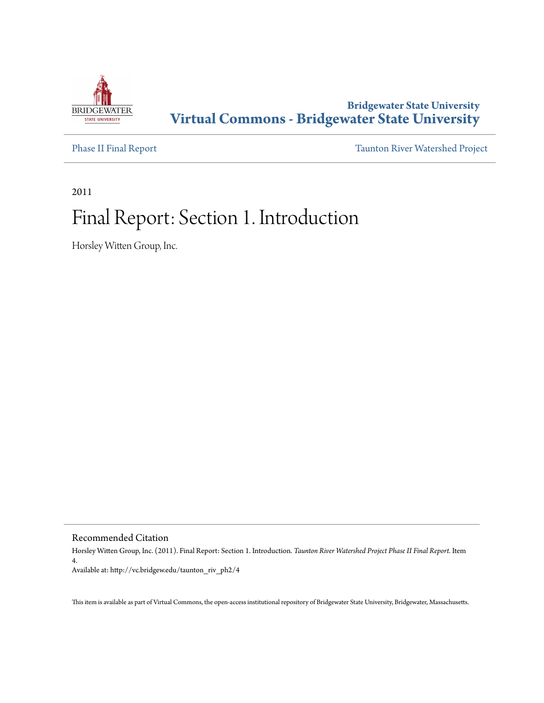

### **Bridgewater State University [Virtual Commons - Bridgewater State University](http://vc.bridgew.edu)**

[Phase II Final Report](http://vc.bridgew.edu/taunton_riv_ph2) [Taunton River Watershed Project](http://vc.bridgew.edu/taunton_riv)

2011

# Final Report: Section 1. Introduction

Horsley Witten Group, Inc.

Recommended Citation

Horsley Witten Group, Inc. (2011). Final Report: Section 1. Introduction. *Taunton River Watershed Project Phase II Final Report.* Item 4. Available at: http://vc.bridgew.edu/taunton\_riv\_ph2/4

This item is available as part of Virtual Commons, the open-access institutional repository of Bridgewater State University, Bridgewater, Massachusetts.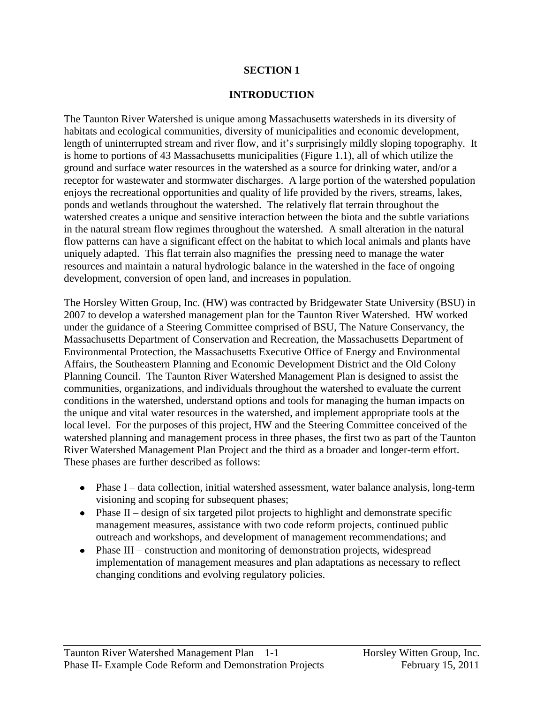#### **SECTION 1**

#### **INTRODUCTION**

The Taunton River Watershed is unique among Massachusetts watersheds in its diversity of habitats and ecological communities, diversity of municipalities and economic development, length of uninterrupted stream and river flow, and it's surprisingly mildly sloping topography. It is home to portions of 43 Massachusetts municipalities (Figure 1.1), all of which utilize the ground and surface water resources in the watershed as a source for drinking water, and/or a receptor for wastewater and stormwater discharges. A large portion of the watershed population enjoys the recreational opportunities and quality of life provided by the rivers, streams, lakes, ponds and wetlands throughout the watershed. The relatively flat terrain throughout the watershed creates a unique and sensitive interaction between the biota and the subtle variations in the natural stream flow regimes throughout the watershed. A small alteration in the natural flow patterns can have a significant effect on the habitat to which local animals and plants have uniquely adapted. This flat terrain also magnifies the pressing need to manage the water resources and maintain a natural hydrologic balance in the watershed in the face of ongoing development, conversion of open land, and increases in population.

The Horsley Witten Group, Inc. (HW) was contracted by Bridgewater State University (BSU) in 2007 to develop a watershed management plan for the Taunton River Watershed. HW worked under the guidance of a Steering Committee comprised of BSU, The Nature Conservancy, the Massachusetts Department of Conservation and Recreation, the Massachusetts Department of Environmental Protection, the Massachusetts Executive Office of Energy and Environmental Affairs, the Southeastern Planning and Economic Development District and the Old Colony Planning Council. The Taunton River Watershed Management Plan is designed to assist the communities, organizations, and individuals throughout the watershed to evaluate the current conditions in the watershed, understand options and tools for managing the human impacts on the unique and vital water resources in the watershed, and implement appropriate tools at the local level. For the purposes of this project, HW and the Steering Committee conceived of the watershed planning and management process in three phases, the first two as part of the Taunton River Watershed Management Plan Project and the third as a broader and longer-term effort. These phases are further described as follows:

- Phase I data collection, initial watershed assessment, water balance analysis, long-term visioning and scoping for subsequent phases;
- $\bullet$  Phase II design of six targeted pilot projects to highlight and demonstrate specific management measures, assistance with two code reform projects, continued public outreach and workshops, and development of management recommendations; and
- Phase III construction and monitoring of demonstration projects, widespread  $\bullet$ implementation of management measures and plan adaptations as necessary to reflect changing conditions and evolving regulatory policies.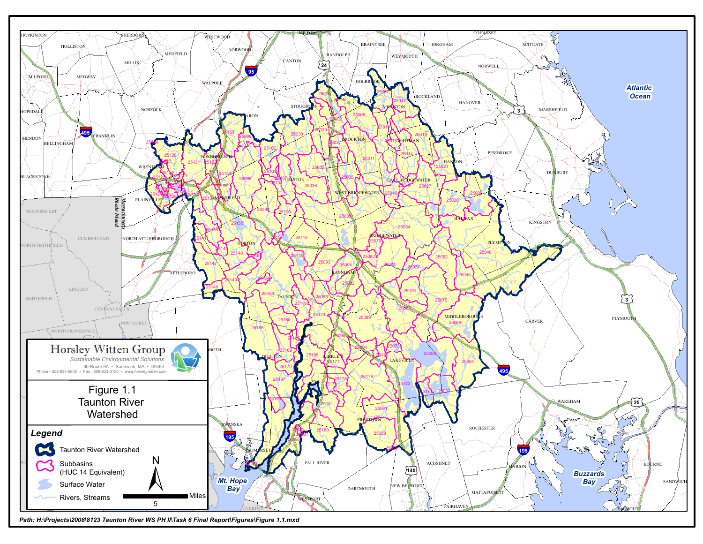

*Path: H:\Projects\2008\8123 Taunton River WS PH II\Task 6 Final Report\Figures\Figure 1.1.mxd*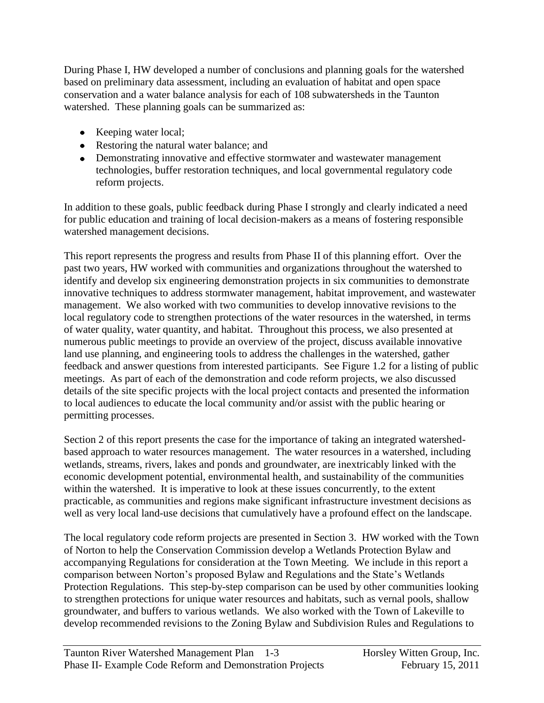During Phase I, HW developed a number of conclusions and planning goals for the watershed based on preliminary data assessment, including an evaluation of habitat and open space conservation and a water balance analysis for each of 108 subwatersheds in the Taunton watershed. These planning goals can be summarized as:

- Keeping water local;
- Restoring the natural water balance; and
- Demonstrating innovative and effective stormwater and wastewater management technologies, buffer restoration techniques, and local governmental regulatory code reform projects.

In addition to these goals, public feedback during Phase I strongly and clearly indicated a need for public education and training of local decision-makers as a means of fostering responsible watershed management decisions.

This report represents the progress and results from Phase II of this planning effort. Over the past two years, HW worked with communities and organizations throughout the watershed to identify and develop six engineering demonstration projects in six communities to demonstrate innovative techniques to address stormwater management, habitat improvement, and wastewater management. We also worked with two communities to develop innovative revisions to the local regulatory code to strengthen protections of the water resources in the watershed, in terms of water quality, water quantity, and habitat. Throughout this process, we also presented at numerous public meetings to provide an overview of the project, discuss available innovative land use planning, and engineering tools to address the challenges in the watershed, gather feedback and answer questions from interested participants. See Figure 1.2 for a listing of public meetings. As part of each of the demonstration and code reform projects, we also discussed details of the site specific projects with the local project contacts and presented the information to local audiences to educate the local community and/or assist with the public hearing or permitting processes.

Section 2 of this report presents the case for the importance of taking an integrated watershedbased approach to water resources management. The water resources in a watershed, including wetlands, streams, rivers, lakes and ponds and groundwater, are inextricably linked with the economic development potential, environmental health, and sustainability of the communities within the watershed. It is imperative to look at these issues concurrently, to the extent practicable, as communities and regions make significant infrastructure investment decisions as well as very local land-use decisions that cumulatively have a profound effect on the landscape.

The local regulatory code reform projects are presented in Section 3. HW worked with the Town of Norton to help the Conservation Commission develop a Wetlands Protection Bylaw and accompanying Regulations for consideration at the Town Meeting. We include in this report a comparison between Norton's proposed Bylaw and Regulations and the State's Wetlands Protection Regulations. This step-by-step comparison can be used by other communities looking to strengthen protections for unique water resources and habitats, such as vernal pools, shallow groundwater, and buffers to various wetlands. We also worked with the Town of Lakeville to develop recommended revisions to the Zoning Bylaw and Subdivision Rules and Regulations to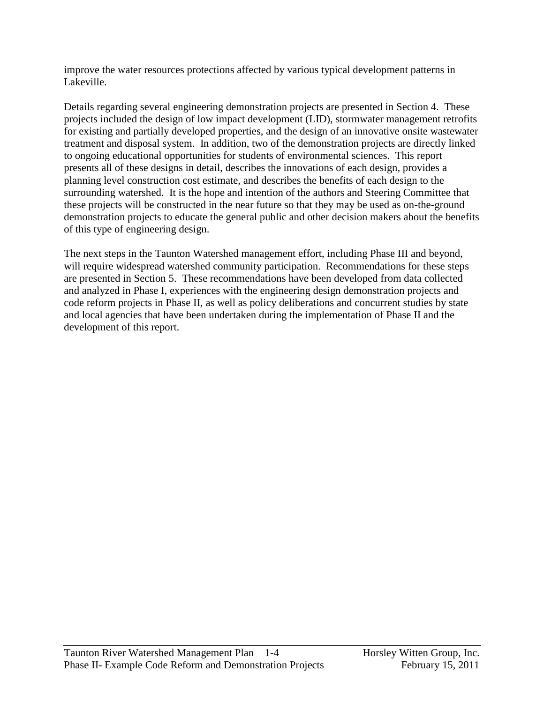improve the water resources protections affected by various typical development patterns in Lakeville.

Details regarding several engineering demonstration projects are presented in Section 4. These projects included the design of low impact development (LID), stormwater management retrofits for existing and partially developed properties, and the design of an innovative onsite wastewater treatment and disposal system. In addition, two of the demonstration projects are directly linked to ongoing educational opportunities for students of environmental sciences. This report presents all of these designs in detail, describes the innovations of each design, provides a planning level construction cost estimate, and describes the benefits of each design to the surrounding watershed. It is the hope and intention of the authors and Steering Committee that these projects will be constructed in the near future so that they may be used as on-the-ground demonstration projects to educate the general public and other decision makers about the benefits of this type of engineering design.

The next steps in the Taunton Watershed management effort, including Phase III and beyond, will require widespread watershed community participation. Recommendations for these steps are presented in Section 5. These recommendations have been developed from data collected and analyzed in Phase I, experiences with the engineering design demonstration projects and code reform projects in Phase II, as well as policy deliberations and concurrent studies by state and local agencies that have been undertaken during the implementation of Phase II and the development of this report.